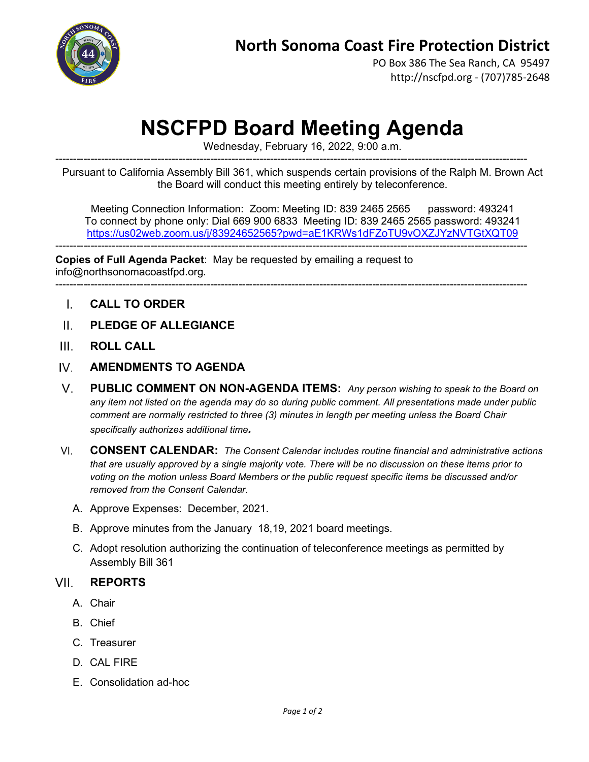

PO Box 386 The Sea Ranch, CA 95497 http://nscfpd.org - (707)785-2648

# **NSCFPD Board Meeting Agenda**

Wednesday, February 16, 2022, 9:00 a.m.

-------------------------------------------------------------------------------------------------------------------------------------- Pursuant to California Assembly Bill 361, which suspends certain provisions of the Ralph M. Brown Act the Board will conduct this meeting entirely by teleconference.

Meeting Connection Information: Zoom: Meeting ID: 839 2465 2565 password: 493241 To connect by phone only: Dial 669 900 6833 Meeting ID: 839 2465 2565 password: 493241 <https://us02web.zoom.us/j/83924652565?pwd=aE1KRWs1dFZoTU9vOXZJYzNVTGtXQT09>

--------------------------------------------------------------------------------------------------------------------------------------

--------------------------------------------------------------------------------------------------------------------------------------

**Copies of Full Agenda Packet**: May be requested by emailing a request to info@northsonomacoastfpd.org.

- $\mathbf{L}$ **CALL TO ORDER**
- $\Pi$ . **PLEDGE OF ALLEGIANCE**
- $III$ **ROLL CALL**
- $W$ **AMENDMENTS TO AGENDA**
- **PUBLIC COMMENT ON NON-AGENDA ITEMS:** *Any person wishing to speak to the Board on*   $V_{\perp}$ *any item not listed on the agenda may do so during public comment. All presentations made under public comment are normally restricted to three (3) minutes in length per meeting unless the Board Chair specifically authorizes additional time.*
- $VI$ **CONSENT CALENDAR:** *The Consent Calendar includes routine financial and administrative actions that are usually approved by a single majority vote. There will be no discussion on these items prior to voting on the motion unless Board Members or the public request specific items be discussed and/or removed from the Consent Calendar.*
	- A. Approve Expenses: December, 2021.
	- B. Approve minutes from the January 18,19, 2021 board meetings.
	- C. Adopt resolution authorizing the continuation of teleconference meetings as permitted by Assembly Bill 361

#### VII. **REPORTS**

- A. Chair
- B. Chief
- C. Treasurer
- D. CAL FIRE
- E. Consolidation ad-hoc